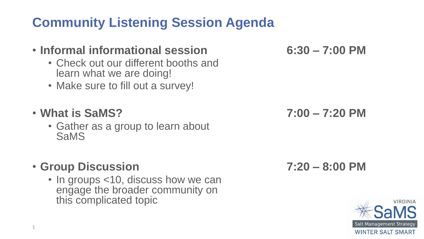## **Community Listening Session Agenda**

#### • **Informal informational session 6:30 – 7:00 PM**

- Check out our different booths and learn what we are doing!
- Make sure to fill out a survey!

#### • **What is SaMS? 7:00 – 7:20 PM**

• Gather as a group to learn about **SaMS** 

#### • **Group Discussion 7:20 – 8:00 PM**

• In groups <10, discuss how we can engage the broader community on this complicated topic

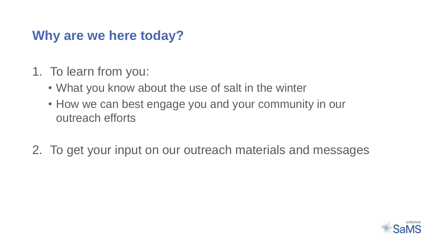#### **Why are we here today?**

- 1. To learn from you:
	- What you know about the use of salt in the winter
	- How we can best engage you and your community in our outreach efforts
- 2. To get your input on our outreach materials and messages

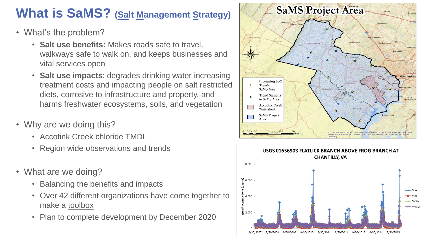#### **What is SaMS?** (Salt Management Strategy)

- What's the problem?
	- **Salt use benefits:** Makes roads safe to travel, walkways safe to walk on, and keeps businesses and vital services open
	- **Salt use impacts**: degrades drinking water increasing treatment costs and impacting people on salt restricted diets, corrosive to infrastructure and property, and harms freshwater ecosystems, soils, and vegetation
- Why are we doing this?
	- Accotink Creek chloride TMDL
	- Region wide observations and trends
- What are we doing?
	- Balancing the benefits and impacts
	- Over 42 different organizations have come together to make a toolbox
	- Plan to complete development by December 2020



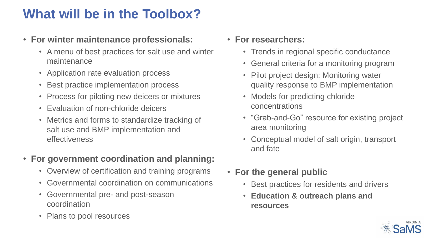### **What will be in the Toolbox?**

- **For winter maintenance professionals:**
	- A menu of best practices for salt use and winter maintenance
	- Application rate evaluation process
	- Best practice implementation process
	- Process for piloting new deicers or mixtures
	- Evaluation of non-chloride deicers
	- Metrics and forms to standardize tracking of salt use and BMP implementation and effectiveness

#### • **For government coordination and planning:**

- Overview of certification and training programs
- Governmental coordination on communications
- Governmental pre- and post-season coordination
- Plans to pool resources
- **For researchers:**
	- Trends in regional specific conductance
	- General criteria for a monitoring program
	- Pilot project design: Monitoring water quality response to BMP implementation
	- Models for predicting chloride concentrations
	- "Grab-and-Go" resource for existing project area monitoring
	- Conceptual model of salt origin, transport and fate
- **For the general public**
	- Best practices for residents and drivers
	- **Education & outreach plans and resources**

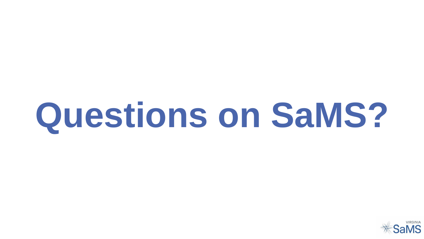# **Questions on SaMS?**

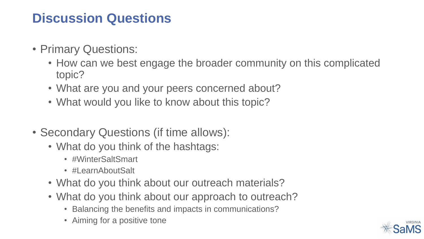#### **Discussion Questions**

- Primary Questions:
	- How can we best engage the broader community on this complicated topic?
	- What are you and your peers concerned about?
	- What would you like to know about this topic?
- Secondary Questions (if time allows):
	- What do you think of the hashtags:
		- #WinterSaltSmart
		- #LearnAboutSalt
	- What do you think about our outreach materials?
	- What do you think about our approach to outreach?
		- Balancing the benefits and impacts in communications?
		- Aiming for a positive tone